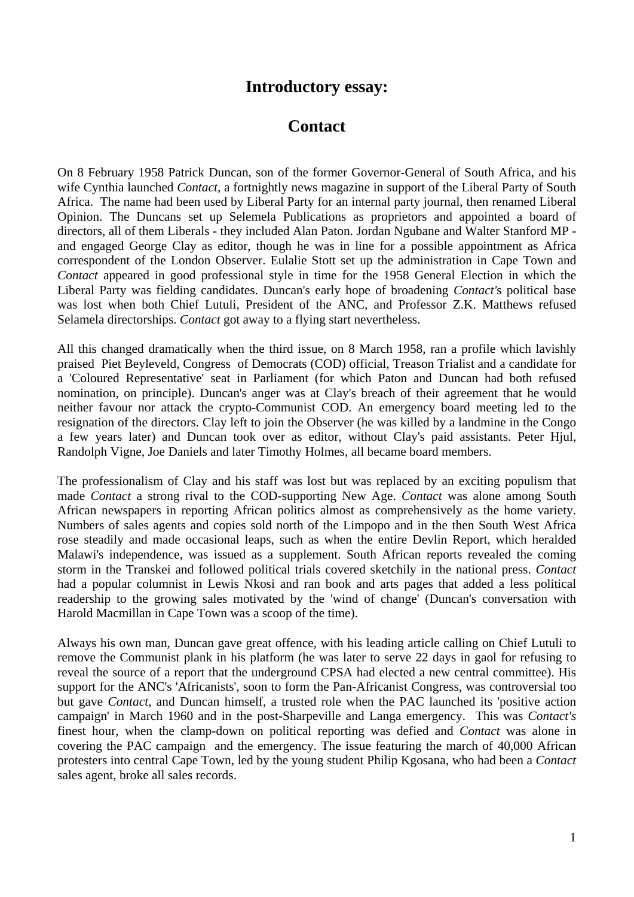## **Introductory essay:**

## **Contact**

On 8 February 1958 Patrick Duncan, son of the former Governor-General of South Africa, and his wife Cynthia launched *Contact*, a fortnightly news magazine in support of the Liberal Party of South Africa. The name had been used by Liberal Party for an internal party journal, then renamed Liberal Opinion. The Duncans set up Selemela Publications as proprietors and appointed a board of directors, all of them Liberals - they included Alan Paton. Jordan Ngubane and Walter Stanford MP and engaged George Clay as editor, though he was in line for a possible appointment as Africa correspondent of the London Observer. Eulalie Stott set up the administration in Cape Town and *Contact* appeared in good professional style in time for the 1958 General Election in which the Liberal Party was fielding candidates. Duncan's early hope of broadening *Contact'*s political base was lost when both Chief Lutuli, President of the ANC, and Professor Z.K. Matthews refused Selamela directorships. *Contact* got away to a flying start nevertheless.

All this changed dramatically when the third issue, on 8 March 1958, ran a profile which lavishly praised Piet Beyleveld, Congress of Democrats (COD) official, Treason Trialist and a candidate for a 'Coloured Representative' seat in Parliament (for which Paton and Duncan had both refused nomination, on principle). Duncan's anger was at Clay's breach of their agreement that he would neither favour nor attack the crypto-Communist COD. An emergency board meeting led to the resignation of the directors. Clay left to join the Observer (he was killed by a landmine in the Congo a few years later) and Duncan took over as editor, without Clay's paid assistants. Peter Hjul, Randolph Vigne, Joe Daniels and later Timothy Holmes, all became board members.

The professionalism of Clay and his staff was lost but was replaced by an exciting populism that made *Contact* a strong rival to the COD-supporting New Age. *Contact* was alone among South African newspapers in reporting African politics almost as comprehensively as the home variety. Numbers of sales agents and copies sold north of the Limpopo and in the then South West Africa rose steadily and made occasional leaps, such as when the entire Devlin Report, which heralded Malawi's independence, was issued as a supplement. South African reports revealed the coming storm in the Transkei and followed political trials covered sketchily in the national press. *Contact*  had a popular columnist in Lewis Nkosi and ran book and arts pages that added a less political readership to the growing sales motivated by the 'wind of change' (Duncan's conversation with Harold Macmillan in Cape Town was a scoop of the time).

Always his own man, Duncan gave great offence, with his leading article calling on Chief Lutuli to remove the Communist plank in his platform (he was later to serve 22 days in gaol for refusing to reveal the source of a report that the underground CPSA had elected a new central committee). His support for the ANC's 'Africanists', soon to form the Pan-Africanist Congress, was controversial too but gave *Contact*, and Duncan himself, a trusted role when the PAC launched its 'positive action campaign' in March 1960 and in the post-Sharpeville and Langa emergency. This was *Contact's* finest hour, when the clamp-down on political reporting was defied and *Contact* was alone in covering the PAC campaign and the emergency. The issue featuring the march of 40,000 African protesters into central Cape Town, led by the young student Philip Kgosana, who had been a *Contact* sales agent, broke all sales records.